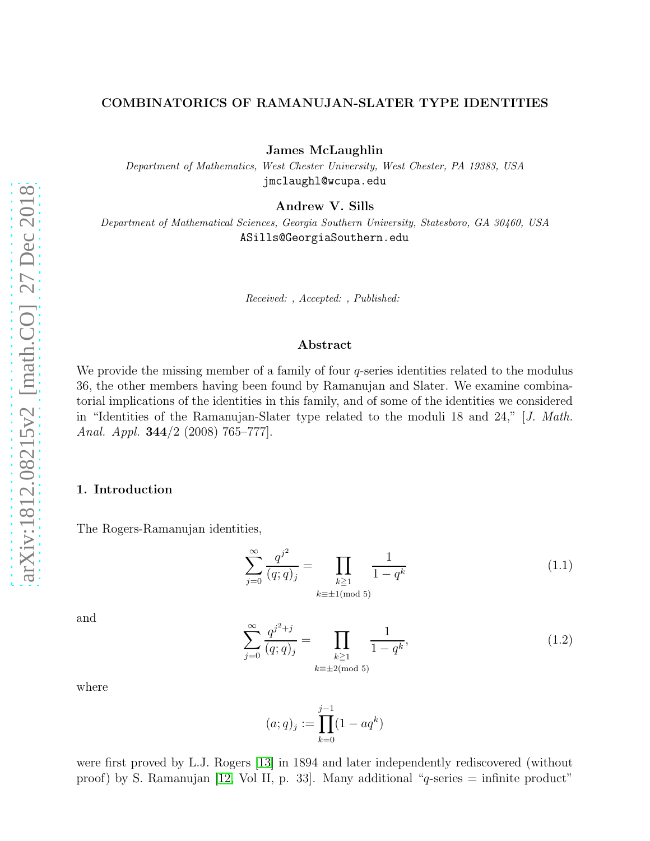### COMBINATORICS OF RAMANUJAN-SLATER TYPE IDENTITIES

James McLaughlin

Department of Mathematics, West Chester University, West Chester, PA 19383, USA jmclaughl@wcupa.edu

Andrew V. Sills

Department of Mathematical Sciences, Georgia Southern University, Statesboro, GA 30460, USA ASills@GeorgiaSouthern.edu

Received: , Accepted: , Published:

#### Abstract

We provide the missing member of a family of four  $q$ -series identities related to the modulus 36, the other members having been found by Ramanujan and Slater. We examine combinatorial implications of the identities in this family, and of some of the identities we considered in "Identities of the Ramanujan-Slater type related to the moduli 18 and 24," [J. Math. Anal. Appl. 344/2 (2008) 765–777].

## 1. Introduction

The Rogers-Ramanujan identities,

<span id="page-0-0"></span>
$$
\sum_{j=0}^{\infty} \frac{q^{j^2}}{(q;q)_j} = \prod_{\substack{k \ge 1 \\ k \equiv \pm 1 \pmod{5}}} \frac{1}{1-q^k}
$$
(1.1)

and

<span id="page-0-1"></span>
$$
\sum_{j=0}^{\infty} \frac{q^{j^2+j}}{(q;q)_j} = \prod_{\substack{k \ge 1 \\ k \equiv \pm 2 \pmod{5}}} \frac{1}{1-q^k},\tag{1.2}
$$

where

$$
(a;q)_j := \prod_{k=0}^{j-1} (1 - aq^k)
$$

were first proved by L.J. Rogers [\[13\]](#page-13-0) in 1894 and later independently rediscovered (without proof) by S. Ramanujan [\[12,](#page-13-1) Vol II, p. 33]. Many additional "q-series  $=$  infinite product"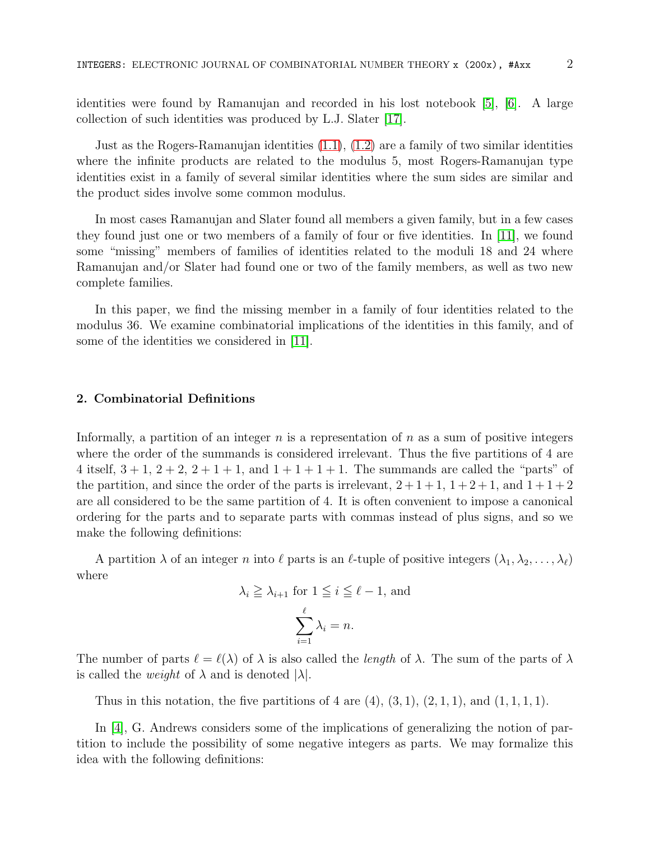identities were found by Ramanujan and recorded in his lost notebook [\[5\]](#page-13-2), [\[6\]](#page-13-3). A large collection of such identities was produced by L.J. Slater [\[17\]](#page-13-4).

Just as the Rogers-Ramanujan identities [\(1.1\)](#page-0-0), [\(1.2\)](#page-0-1) are a family of two similar identities where the infinite products are related to the modulus 5, most Rogers-Ramanujan type identities exist in a family of several similar identities where the sum sides are similar and the product sides involve some common modulus.

In most cases Ramanujan and Slater found all members a given family, but in a few cases they found just one or two members of a family of four or five identities. In [\[11\]](#page-13-5), we found some "missing" members of families of identities related to the moduli 18 and 24 where Ramanujan and/or Slater had found one or two of the family members, as well as two new complete families.

In this paper, we find the missing member in a family of four identities related to the modulus 36. We examine combinatorial implications of the identities in this family, and of some of the identities we considered in [\[11\]](#page-13-5).

### 2. Combinatorial Definitions

Informally, a partition of an integer  $n$  is a representation of  $n$  as a sum of positive integers where the order of the summands is considered irrelevant. Thus the five partitions of 4 are 4 itself,  $3 + 1$ ,  $2 + 2$ ,  $2 + 1 + 1$ , and  $1 + 1 + 1 + 1$ . The summands are called the "parts" of the partition, and since the order of the parts is irrelevant,  $2+1+1$ ,  $1+2+1$ , and  $1+1+2$ are all considered to be the same partition of 4. It is often convenient to impose a canonical ordering for the parts and to separate parts with commas instead of plus signs, and so we make the following definitions:

A partition  $\lambda$  of an integer n into  $\ell$  parts is an  $\ell$ -tuple of positive integers  $(\lambda_1, \lambda_2, \ldots, \lambda_\ell)$ where

$$
\lambda_i \geq \lambda_{i+1}
$$
 for  $1 \leq i \leq \ell - 1$ , and  

$$
\sum_{i=1}^{\ell} \lambda_i = n.
$$

The number of parts  $\ell = \ell(\lambda)$  of  $\lambda$  is also called the *length* of  $\lambda$ . The sum of the parts of  $\lambda$ is called the *weight* of  $\lambda$  and is denoted  $|\lambda|$ .

Thus in this notation, the five partitions of 4 are  $(4)$ ,  $(3, 1)$ ,  $(2, 1, 1)$ , and  $(1, 1, 1, 1)$ .

In [\[4\]](#page-13-6), G. Andrews considers some of the implications of generalizing the notion of partition to include the possibility of some negative integers as parts. We may formalize this idea with the following definitions: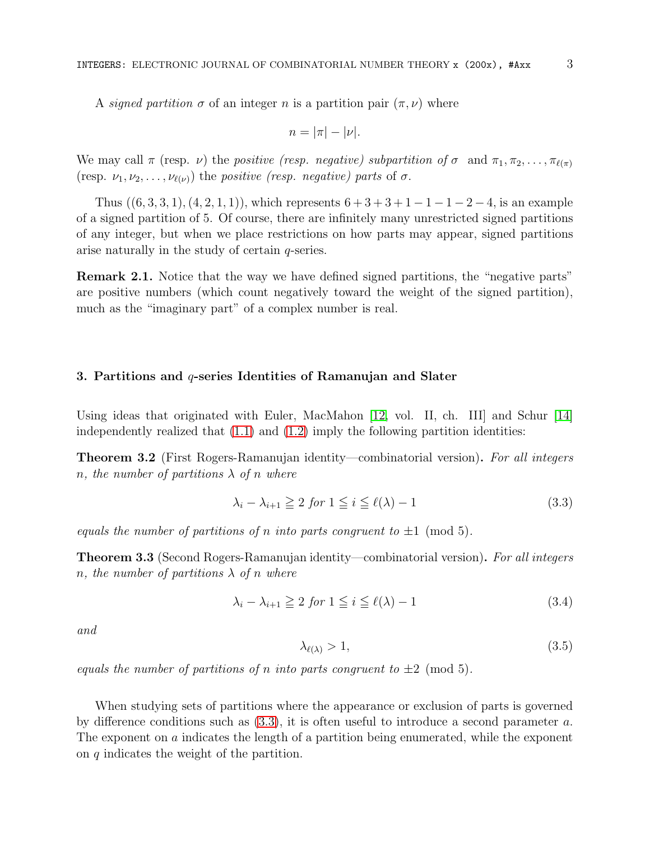A signed partition  $\sigma$  of an integer n is a partition pair  $(\pi, \nu)$  where

$$
n=|\pi|-|\nu|.
$$

We may call  $\pi$  (resp. *v*) the *positive (resp. negative) subpartition of*  $\sigma$  and  $\pi_1, \pi_2, \ldots, \pi_{\ell(\pi)}$ (resp.  $\nu_1, \nu_2, \ldots, \nu_{\ell(\nu)}$ ) the positive (resp. negative) parts of  $\sigma$ .

Thus  $((6, 3, 3, 1), (4, 2, 1, 1))$ , which represents  $6 + 3 + 3 + 1 - 1 - 1 - 2 - 4$ , is an example of a signed partition of 5. Of course, there are infinitely many unrestricted signed partitions of any integer, but when we place restrictions on how parts may appear, signed partitions arise naturally in the study of certain  $q$ -series.

Remark 2.1. Notice that the way we have defined signed partitions, the "negative parts" are positive numbers (which count negatively toward the weight of the signed partition), much as the "imaginary part" of a complex number is real.

### 3. Partitions and  $q$ -series Identities of Ramanujan and Slater

Using ideas that originated with Euler, MacMahon [\[12,](#page-13-1) vol. II, ch. III] and Schur [\[14\]](#page-13-7) independently realized that  $(1.1)$  and  $(1.2)$  imply the following partition identities:

Theorem 3.2 (First Rogers-Ramanujan identity—combinatorial version). For all integers n, the number of partitions  $\lambda$  of n where

<span id="page-2-0"></span>
$$
\lambda_i - \lambda_{i+1} \ge 2 \text{ for } 1 \le i \le \ell(\lambda) - 1 \tag{3.3}
$$

equals the number of partitions of n into parts congruent to  $\pm 1 \pmod{5}$ .

Theorem 3.3 (Second Rogers-Ramanujan identity—combinatorial version). For all integers n, the number of partitions  $\lambda$  of n where

<span id="page-2-1"></span>
$$
\lambda_i - \lambda_{i+1} \ge 2 \text{ for } 1 \le i \le \ell(\lambda) - 1 \tag{3.4}
$$

and

<span id="page-2-2"></span>
$$
\lambda_{\ell(\lambda)} > 1,\tag{3.5}
$$

equals the number of partitions of n into parts congruent to  $\pm 2 \pmod{5}$ .

When studying sets of partitions where the appearance or exclusion of parts is governed by difference conditions such as [\(3.3\)](#page-2-0), it is often useful to introduce a second parameter a. The exponent on a indicates the length of a partition being enumerated, while the exponent on q indicates the weight of the partition.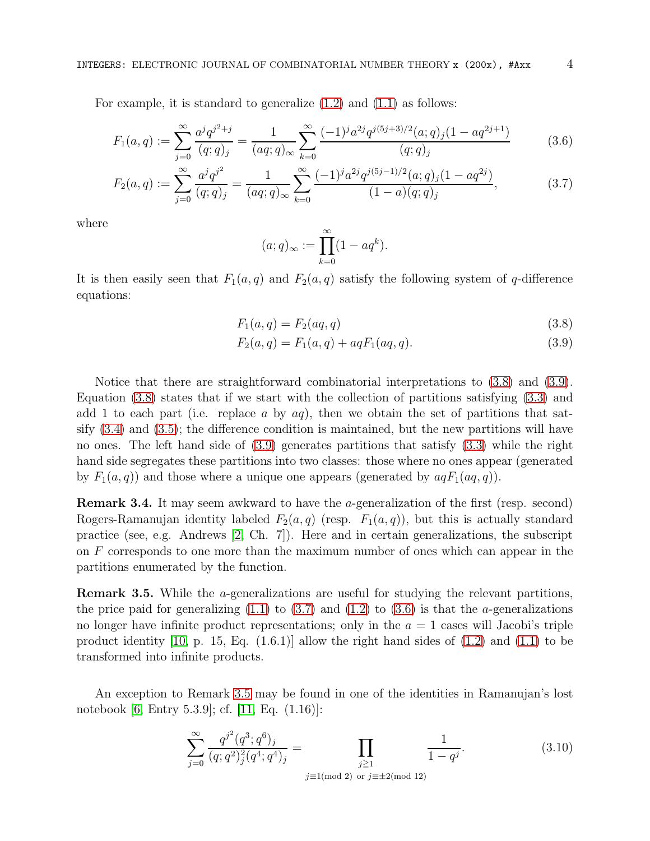For example, it is standard to generalize [\(1.2\)](#page-0-1) and [\(1.1\)](#page-0-0) as follows:

$$
F_1(a,q) := \sum_{j=0}^{\infty} \frac{a^j q^{j^2+j}}{(q;q)_j} = \frac{1}{(aq;q)_{\infty}} \sum_{k=0}^{\infty} \frac{(-1)^j a^{2j} q^{j(5j+3)/2} (a;q)_j (1-aq^{2j+1})}{(q;q)_j}
$$
(3.6)

$$
F_2(a,q) := \sum_{j=0}^{\infty} \frac{a^j q^{j^2}}{(q;q)_j} = \frac{1}{(aq;q)_{\infty}} \sum_{k=0}^{\infty} \frac{(-1)^j a^{2j} q^{j(5j-1)/2} (a;q)_j (1-aq^{2j})}{(1-a)(q;q)_j},\tag{3.7}
$$

where

<span id="page-3-3"></span><span id="page-3-2"></span><span id="page-3-1"></span><span id="page-3-0"></span>
$$
(a;q)_{\infty} := \prod_{k=0}^{\infty} (1 - aq^k).
$$

It is then easily seen that  $F_1(a,q)$  and  $F_2(a,q)$  satisfy the following system of q-difference equations:

$$
F_1(a,q) = F_2(aq,q)
$$
\n(3.8)

$$
F_2(a,q) = F_1(a,q) + aqF_1(aq,q).
$$
\n(3.9)

Notice that there are straightforward combinatorial interpretations to [\(3.8\)](#page-3-0) and [\(3.9\)](#page-3-1). Equation [\(3.8\)](#page-3-0) states that if we start with the collection of partitions satisfying [\(3.3\)](#page-2-0) and add 1 to each part (i.e. replace a by  $aq$ ), then we obtain the set of partitions that satsify [\(3.4\)](#page-2-1) and [\(3.5\)](#page-2-2); the difference condition is maintained, but the new partitions will have no ones. The left hand side of [\(3.9\)](#page-3-1) generates partitions that satisfy [\(3.3\)](#page-2-0) while the right hand side segregates these partitions into two classes: those where no ones appear (generated by  $F_1(a,q)$  and those where a unique one appears (generated by  $aqF_1(aq,q)$ ).

Remark 3.4. It may seem awkward to have the a-generalization of the first (resp. second) Rogers-Ramanujan identity labeled  $F_2(a,q)$  (resp.  $F_1(a,q)$ ), but this is actually standard practice (see, e.g. Andrews [\[2,](#page-13-8) Ch. 7]). Here and in certain generalizations, the subscript on F corresponds to one more than the maximum number of ones which can appear in the partitions enumerated by the function.

<span id="page-3-4"></span>Remark 3.5. While the a-generalizations are useful for studying the relevant partitions, the price paid for generalizing  $(1.1)$  to  $(3.7)$  and  $(1.2)$  to  $(3.6)$  is that the *a*-generalizations no longer have infinite product representations; only in the  $a = 1$  cases will Jacobi's triple product identity [\[10,](#page-13-9) p. 15, Eq.  $(1.6.1)$ ] allow the right hand sides of  $(1.2)$  and  $(1.1)$  to be transformed into infinite products.

An exception to Remark [3.5](#page-3-4) may be found in one of the identities in Ramanujan's lost notebook [\[6,](#page-13-3) Entry 5.3.9]; cf. [\[11,](#page-13-5) Eq. (1.16)]:

<span id="page-3-5"></span>
$$
\sum_{j=0}^{\infty} \frac{q^{j^2}(q^3;q^6)_j}{(q;q^2)_j^2(q^4;q^4)_j} = \prod_{\substack{j\geq 1 \ j \equiv 1 \pmod{2}}} \frac{1}{1-q^j}.
$$
\n(3.10)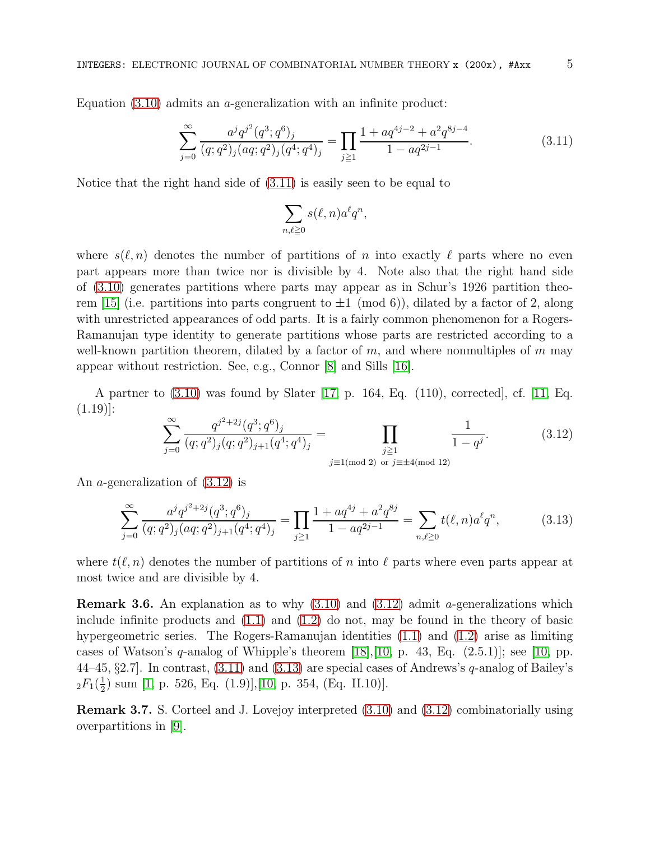Equation  $(3.10)$  admits an *a*-generalization with an infinite product:

<span id="page-4-0"></span>
$$
\sum_{j=0}^{\infty} \frac{a^j q^{j^2} (q^3; q^6)_j}{(q; q^2)_j (aq; q^2)_j (q^4; q^4)_j} = \prod_{j \ge 1} \frac{1 + a q^{4j - 2} + a^2 q^{8j - 4}}{1 - a q^{2j - 1}}.
$$
\n(3.11)

Notice that the right hand side of [\(3.11\)](#page-4-0) is easily seen to be equal to

$$
\sum_{n,\ell\geqq 0} s(\ell,n)a^\ell q^n,
$$

where  $s(\ell, n)$  denotes the number of partitions of n into exactly  $\ell$  parts where no even part appears more than twice nor is divisible by 4. Note also that the right hand side of [\(3.10\)](#page-3-5) generates partitions where parts may appear as in Schur's 1926 partition theo-rem [\[15\]](#page-13-10) (i.e. partitions into parts congruent to  $\pm 1 \pmod{6}$ ), dilated by a factor of 2, along with unrestricted appearances of odd parts. It is a fairly common phenomenon for a Rogers-Ramanujan type identity to generate partitions whose parts are restricted according to a well-known partition theorem, dilated by a factor of  $m$ , and where nonmultiples of  $m$  may appear without restriction. See, e.g., Connor [\[8\]](#page-13-11) and Sills [\[16\]](#page-13-12).

A partner to [\(3.10\)](#page-3-5) was found by Slater [\[17,](#page-13-4) p. 164, Eq. (110), corrected], cf. [\[11,](#page-13-5) Eq.  $(1.19)$ :

<span id="page-4-1"></span>
$$
\sum_{j=0}^{\infty} \frac{q^{j^2+2j} (q^3; q^6)_j}{(q; q^2)_j (q; q^2)_{j+1} (q^4; q^4)_j} = \prod_{\substack{j \ge 1 \\ j \equiv 1 \pmod{2}}} \frac{1}{1 - q^j}.
$$
\n(3.12)

An a-generalization of [\(3.12\)](#page-4-1) is

<span id="page-4-2"></span>
$$
\sum_{j=0}^{\infty} \frac{a^j q^{j^2+2j} (q^3; q^6)_j}{(q; q^2)_j (aq; q^2)_{j+1} (q^4; q^4)_j} = \prod_{j \ge 1} \frac{1 + a q^{4j} + a^2 q^{8j}}{1 - a q^{2j-1}} = \sum_{n, \ell \ge 0} t(\ell, n) a^{\ell} q^n,
$$
(3.13)

where  $t(\ell, n)$  denotes the number of partitions of n into  $\ell$  parts where even parts appear at most twice and are divisible by 4.

**Remark 3.6.** An explanation as to why  $(3.10)$  and  $(3.12)$  admit *a*-generalizations which include infinite products and  $(1.1)$  and  $(1.2)$  do not, may be found in the theory of basic hypergeometric series. The Rogers-Ramanujan identities [\(1.1\)](#page-0-0) and [\(1.2\)](#page-0-1) arise as limiting cases of Watson's q-analog of Whipple's theorem  $[18], [10, p. 43, Eq. (2.5.1)];$  $[18], [10, p. 43, Eq. (2.5.1)];$  $[18], [10, p. 43, Eq. (2.5.1)];$  see [\[10,](#page-13-9) pp. 44–45,  $\S 2.7$ . In contrast,  $(3.11)$  and  $(3.13)$  are special cases of Andrews's q-analog of Bailey's  ${}_2F_1(\frac{1}{2}$  $\frac{1}{2}$ ) sum [\[1,](#page-12-0) p. 526, Eq. (1.9)],[\[10,](#page-13-9) p. 354, (Eq. II.10)].

Remark 3.7. S. Corteel and J. Lovejoy interpreted [\(3.10\)](#page-3-5) and [\(3.12\)](#page-4-1) combinatorially using overpartitions in [\[9\]](#page-13-14).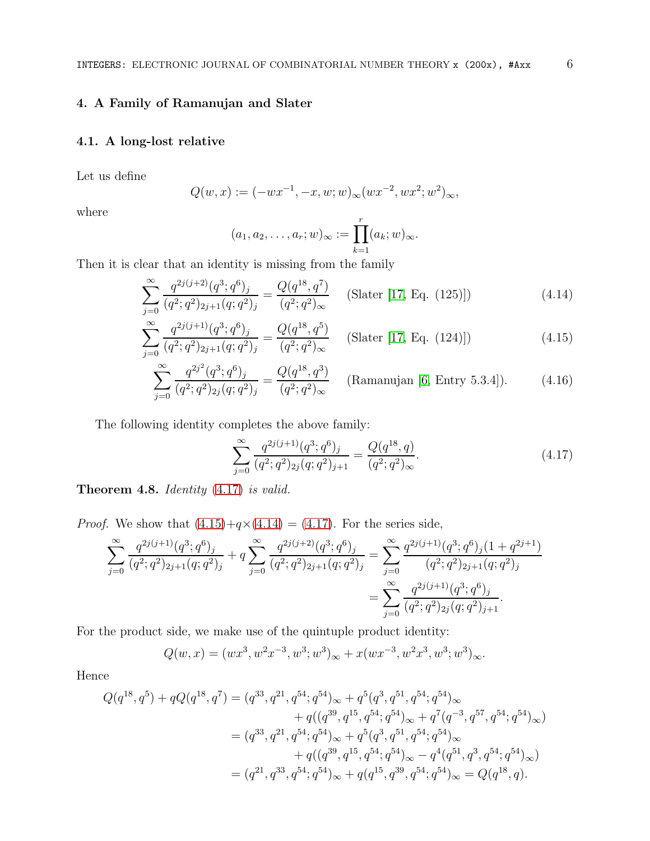# 4. A Family of Ramanujan and Slater

# 4.1. A long-lost relative

Let us define

$$
Q(w, x) := (-wx^{-1}, -x, w; w)_{\infty}(wx^{-2}, wx^2; w^2)_{\infty},
$$

where

<span id="page-5-2"></span><span id="page-5-1"></span>
$$
(a_1,a_2,\ldots,a_r;w)_{\infty}:=\prod_{k=1}^r (a_k;w)_{\infty}.
$$

Then it is clear that an identity is missing from the family

$$
\sum_{j=0}^{\infty} \frac{q^{2j(j+2)}(q^3; q^6)_j}{(q^2; q^2)_{2j+1}(q; q^2)_j} = \frac{Q(q^{18}, q^7)}{(q^2; q^2)_{\infty}} \quad \text{(Slater [17, Eq. (125)])} \tag{4.14}
$$

$$
\sum_{j=0}^{\infty} \frac{q^{2j(j+1)}(q^3; q^6)_j}{(q^2; q^2)_{2j+1}(q; q^2)_j} = \frac{Q(q^{18}, q^5)}{(q^2; q^2)_{\infty}} \quad \text{(Slater [17, Eq. (124)])}\tag{4.15}
$$

$$
\sum_{j=0}^{\infty} \frac{q^{2j^2}(q^3;q^6)_j}{(q^2;q^2)_{2j}(q;q^2)_j} = \frac{Q(q^{18},q^3)}{(q^2;q^2)_{\infty}} \quad \text{(Ramanujan [6, Entry 5.3.4])}.
$$
 (4.16)

The following identity completes the above family:

<span id="page-5-3"></span><span id="page-5-0"></span>
$$
\sum_{j=0}^{\infty} \frac{q^{2j(j+1)}(q^3;q^6)_j}{(q^2;q^2)_{2j}(q;q^2)_{j+1}} = \frac{Q(q^{18},q)}{(q^2;q^2)_{\infty}}.
$$
\n(4.17)

Theorem 4.8. Identity  $(4.17)$  is valid.

*Proof.* We show that  $(4.15)+q\times(4.14) = (4.17)$  $(4.15)+q\times(4.14) = (4.17)$  $(4.15)+q\times(4.14) = (4.17)$  $(4.15)+q\times(4.14) = (4.17)$ . For the series side,

$$
\sum_{j=0}^{\infty} \frac{q^{2j(j+1)}(q^3;q^6)_j}{(q^2;q^2)_{2j+1}(q;q^2)_j} + q \sum_{j=0}^{\infty} \frac{q^{2j(j+2)}(q^3;q^6)_j}{(q^2;q^2)_{2j+1}(q;q^2)_j} = \sum_{j=0}^{\infty} \frac{q^{2j(j+1)}(q^3;q^6)_j(1+q^{2j+1})}{(q^2;q^2)_{2j+1}(q;q^2)_j} = \sum_{j=0}^{\infty} \frac{q^{2j(j+1)}(q^3;q^6)_j}{(q^2;q^2)_{2j}(q;q^2)_{j+1}}.
$$

For the product side, we make use of the quintuple product identity:

$$
Q(w, x) = (wx^3, w^2x^{-3}, w^3; w^3)_{\infty} + x(wx^{-3}, w^2x^3, w^3; w^3)_{\infty}.
$$

Hence

$$
Q(q^{18}, q^{5}) + qQ(q^{18}, q^{7}) = (q^{33}, q^{21}, q^{54}; q^{54})_{\infty} + q^{5}(q^{3}, q^{51}, q^{54}; q^{54})_{\infty} + q((q^{39}, q^{15}, q^{54}; q^{54})_{\infty} + q^{7}(q^{-3}, q^{57}, q^{54}; q^{54})_{\infty}) = (q^{33}, q^{21}, q^{54}; q^{54})_{\infty} + q^{5}(q^{3}, q^{51}, q^{54}; q^{54})_{\infty} + q((q^{39}, q^{15}, q^{54}; q^{54})_{\infty} - q^{4}(q^{51}, q^{3}, q^{54}; q^{54})_{\infty}) = (q^{21}, q^{33}, q^{54}; q^{54})_{\infty} + q(q^{15}, q^{39}, q^{54}; q^{54})_{\infty} = Q(q^{18}, q).
$$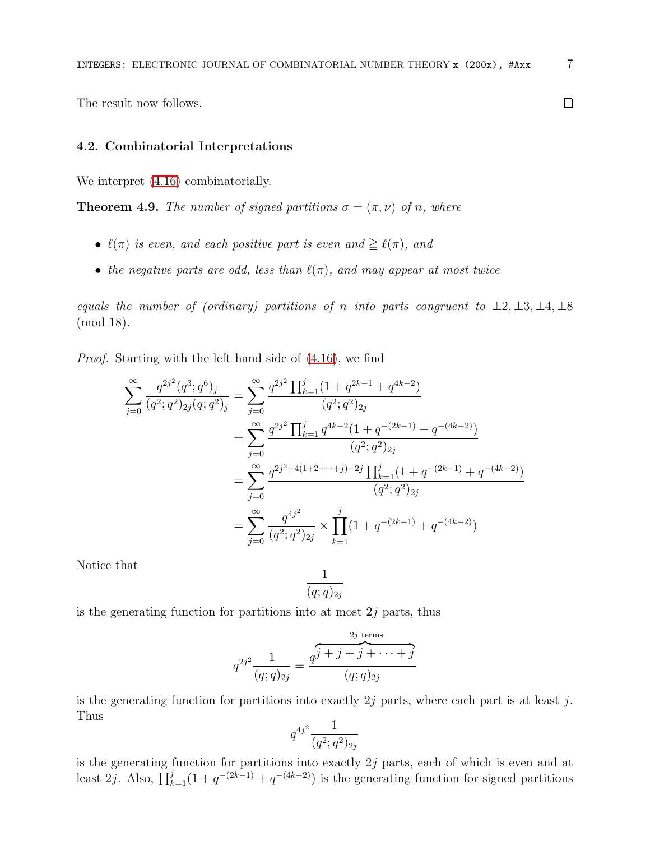The result now follows.

# 4.2. Combinatorial Interpretations

We interpret  $(4.16)$  combinatorially.

<span id="page-6-0"></span>**Theorem 4.9.** The number of signed partitions  $\sigma = (\pi, \nu)$  of n, where

- $\ell(\pi)$  is even, and each positive part is even and  $\geq \ell(\pi)$ , and
- the negative parts are odd, less than  $\ell(\pi)$ , and may appear at most twice

equals the number of (ordinary) partitions of n into parts congruent to  $\pm 2, \pm 3, \pm 4, \pm 8$ (mod 18).

Proof. Starting with the left hand side of [\(4.16\)](#page-5-3), we find

$$
\sum_{j=0}^{\infty} \frac{q^{2j^2}(q^3;q^6)_j}{(q^2;q^2)_{2j}(q;q^2)_j} = \sum_{j=0}^{\infty} \frac{q^{2j^2} \prod_{k=1}^j (1+q^{2k-1}+q^{4k-2})}{(q^2;q^2)_{2j}}
$$
  
\n
$$
= \sum_{j=0}^{\infty} \frac{q^{2j^2} \prod_{k=1}^j q^{4k-2} (1+q^{-(2k-1)}+q^{-(4k-2)})}{(q^2;q^2)_{2j}}
$$
  
\n
$$
= \sum_{j=0}^{\infty} \frac{q^{2j^2+4(1+2+\cdots+j)-2j} \prod_{k=1}^j (1+q^{-(2k-1)}+q^{-(4k-2)})}{(q^2;q^2)_{2j}}
$$
  
\n
$$
= \sum_{j=0}^{\infty} \frac{q^{4j^2}}{(q^2;q^2)_{2j}} \times \prod_{k=1}^j (1+q^{-(2k-1)}+q^{-(4k-2)})
$$

Notice that

$$
\frac{1}{(q;q)_{2j}}
$$

is the generating function for partitions into at most  $2j$  parts, thus

$$
q^{2j^2} \frac{1}{(q;q)_{2j}} = \frac{q^{j} + j + j + \cdots + j}{(q;q)_{2j}}
$$

is the generating function for partitions into exactly  $2j$  parts, where each part is at least j. Thus

$$
q^{4j^2} \frac{1}{(q^2;q^2)_{2j}}
$$

is the generating function for partitions into exactly  $2j$  parts, each of which is even and at least 2*j*. Also,  $\prod_{k=1}^{j} (1 + q^{-(2k-1)} + q^{-(4k-2)})$  is the generating function for signed partitions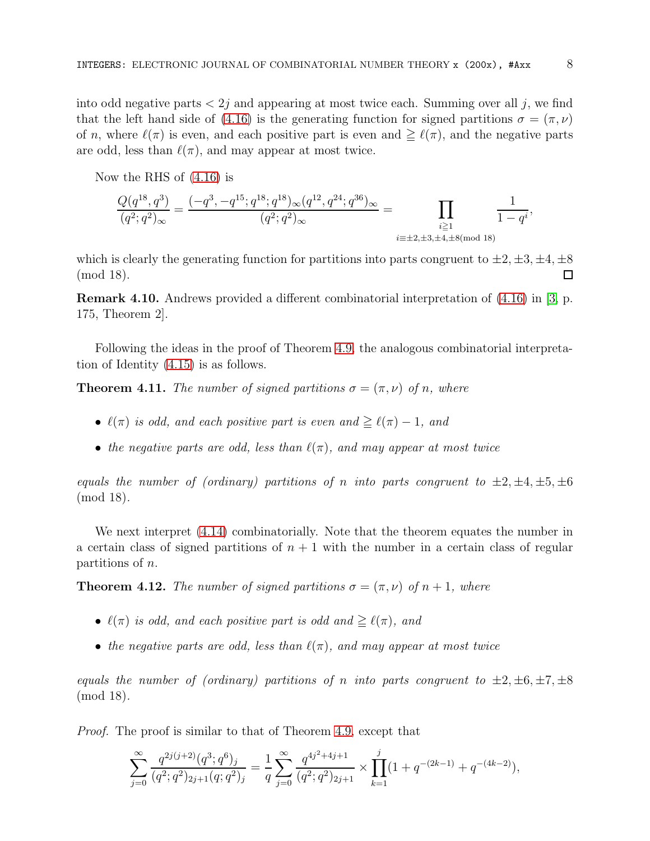into odd negative parts  $\langle 2j \rangle$  and appearing at most twice each. Summing over all j, we find that the left hand side of [\(4.16\)](#page-5-3) is the generating function for signed partitions  $\sigma = (\pi, \nu)$ of n, where  $\ell(\pi)$  is even, and each positive part is even and  $\geq \ell(\pi)$ , and the negative parts are odd, less than  $\ell(\pi)$ , and may appear at most twice.

Now the RHS of [\(4.16\)](#page-5-3) is

$$
\frac{Q(q^{18},q^3)}{(q^2;q^2)_{\infty}}=\frac{(-q^3,-q^{15};q^{18};q^{18})_{\infty}(q^{12},q^{24};q^{36})_{\infty}}{(q^2;q^2)_{\infty}}=\prod_{\substack{i\geq 1\\ \stackrel{i\equiv \pm 2,\pm 3,\pm 4,\pm 8 (\text{mod }18) }}\frac{1}{1-q^i},
$$

which is clearly the generating function for partitions into parts congruent to  $\pm 2, \pm 3, \pm 4, \pm 8$ (mod 18).  $\Box$ 

Remark 4.10. Andrews provided a different combinatorial interpretation of [\(4.16\)](#page-5-3) in [\[3,](#page-13-15) p. 175, Theorem 2].

Following the ideas in the proof of Theorem [4.9,](#page-6-0) the analogous combinatorial interpretation of Identity [\(4.15\)](#page-5-1) is as follows.

**Theorem 4.11.** The number of signed partitions  $\sigma = (\pi, \nu)$  of n, where

- $\ell(\pi)$  is odd, and each positive part is even and  $\geq \ell(\pi) 1$ , and
- the negative parts are odd, less than  $\ell(\pi)$ , and may appear at most twice

equals the number of (ordinary) partitions of n into parts congruent to  $\pm 2, \pm 4, \pm 5, \pm 6$ (mod 18).

We next interpret [\(4.14\)](#page-5-2) combinatorially. Note that the theorem equates the number in a certain class of signed partitions of  $n + 1$  with the number in a certain class of regular partitions of  $n$ .

**Theorem 4.12.** The number of signed partitions  $\sigma = (\pi, \nu)$  of  $n + 1$ , where

- $\ell(\pi)$  is odd, and each positive part is odd and  $\geq \ell(\pi)$ , and
- the negative parts are odd, less than  $\ell(\pi)$ , and may appear at most twice

equals the number of (ordinary) partitions of n into parts congruent to  $\pm 2, \pm 6, \pm 7, \pm 8$ (mod 18).

Proof. The proof is similar to that of Theorem [4.9,](#page-6-0) except that

$$
\sum_{j=0}^\infty\frac{q^{2j(j+2)}(q^3;q^6)_j}{(q^2;q^2)_{2j+1}(q;q^2)_j}=\frac{1}{q}\sum_{j=0}^\infty\frac{q^{4j^2+4j+1}}{(q^2;q^2)_{2j+1}}\times\prod_{k=1}^j(1+q^{-(2k-1)}+q^{-(4k-2)}),
$$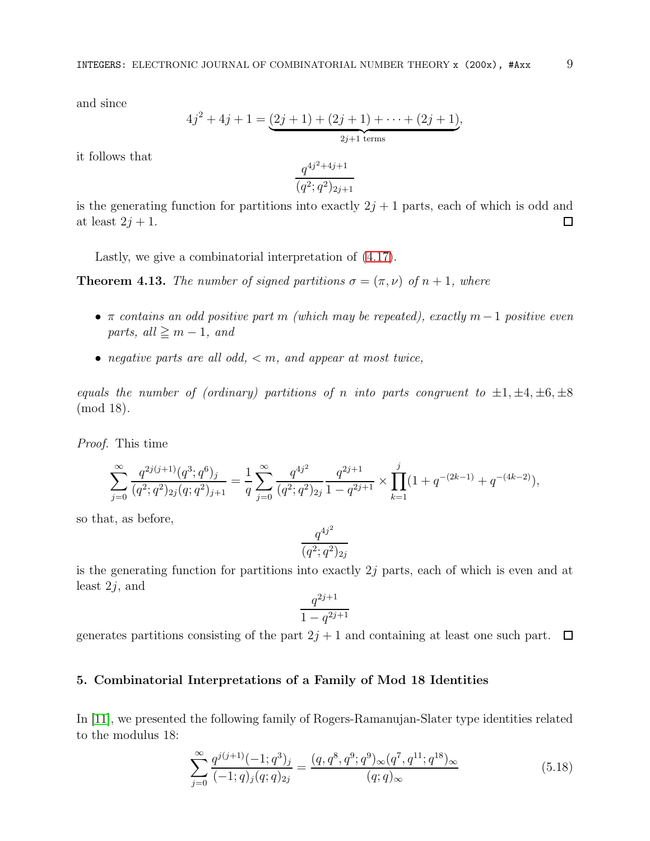and since

$$
4j^{2} + 4j + 1 = \underbrace{(2j + 1) + (2j + 1) + \cdots + (2j + 1)}_{2j+1 \text{ terms}},
$$

it follows that

$$
\frac{q^{4j^2+4j+1}}{(q^2;q^2)_{2j+1}}
$$

is the generating function for partitions into exactly  $2j + 1$  parts, each of which is odd and at least  $2j + 1$ .  $\Box$ 

Lastly, we give a combinatorial interpretation of [\(4.17\)](#page-5-0).

**Theorem 4.13.** The number of signed partitions  $\sigma = (\pi, \nu)$  of  $n + 1$ , where

- $\pi$  contains an odd positive part m (which may be repeated), exactly m 1 positive even parts, all  $\geq m-1$ , and
- negative parts are all odd,  $\lt m$ , and appear at most twice,

equals the number of (ordinary) partitions of n into parts congruent to  $\pm 1, \pm 4, \pm 6, \pm 8$ (mod 18).

Proof. This time

$$
\sum_{j=0}^{\infty} \frac{q^{2j(j+1)}(q^3;q^6)_j}{(q^2;q^2)_{2j}(q;q^2)_{j+1}} = \frac{1}{q} \sum_{j=0}^{\infty} \frac{q^{4j^2}}{(q^2;q^2)_{2j}} \frac{q^{2j+1}}{1-q^{2j+1}} \times \prod_{k=1}^j (1+q^{-(2k-1)}+q^{-(4k-2)}),
$$

so that, as before,

$$
\frac{q^{4j^2}}{(q^2;q^2)_{2j}}
$$

is the generating function for partitions into exactly  $2j$  parts, each of which is even and at least  $2j$ , and

<span id="page-8-0"></span>
$$
\frac{q^{2j+1}}{1-q^{2j+1}}
$$

generates partitions consisting of the part  $2j + 1$  and containing at least one such part.  $\Box$ 

### 5. Combinatorial Interpretations of a Family of Mod 18 Identities

In [\[11\]](#page-13-5), we presented the following family of Rogers-Ramanujan-Slater type identities related to the modulus 18:

$$
\sum_{j=0}^{\infty} \frac{q^{j(j+1)}(-1;q^3)_j}{(-1;q)_j(q;q)_{2j}} = \frac{(q,q^8,q^9;q^9)_{\infty}(q^7,q^{11};q^{18})_{\infty}}{(q;q)_{\infty}}
$$
(5.18)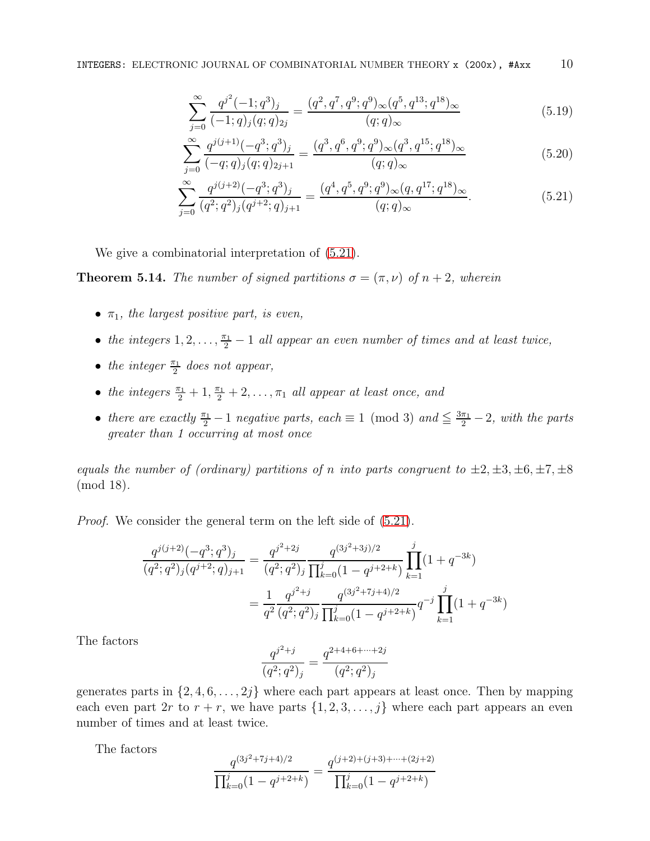<span id="page-9-3"></span><span id="page-9-1"></span>
$$
\sum_{j=0}^{\infty} \frac{q^{j^2}(-1;q^3)_j}{(-1;q)_j(q;q)_{2j}} = \frac{(q^2,q^7,q^9;q^9)_{\infty}(q^5,q^{13};q^{18})_{\infty}}{(q;q)_{\infty}}
$$
(5.19)

<span id="page-9-0"></span>
$$
\sum_{j=0}^{\infty} \frac{q^{j(j+1)}(-q^3;q^3)_j}{(-q;q)_j(q;q)_{2j+1}} = \frac{(q^3,q^6,q^9;q^9)_{\infty}(q^3,q^{15};q^{18})_{\infty}}{(q;q)_{\infty}}
$$
(5.20)

$$
\sum_{j=0}^{\infty} \frac{q^{j(j+2)}(-q^3;q^3)_j}{(q^2;q^2)_j(q^{j+2};q)_{j+1}} = \frac{(q^4,q^5,q^9;q^9)_{\infty}(q,q^{17};q^{18})_{\infty}}{(q;q)_{\infty}}.
$$
\n(5.21)

We give a combinatorial interpretation of  $(5.21)$ .

<span id="page-9-2"></span>**Theorem 5.14.** The number of signed partitions  $\sigma = (\pi, \nu)$  of  $n + 2$ , wherein

- $\pi_1$ , the largest positive part, is even,
- the integers  $1, 2, \ldots, \frac{\pi_1}{2} 1$  all appear an even number of times and at least twice,
- the integer  $\frac{\pi_1}{2}$  does not appear,
- the integers  $\frac{\pi_1}{2} + 1, \frac{\pi_1}{2} + 2, \ldots, \pi_1$  all appear at least once, and
- there are exactly  $\frac{\pi_1}{2} 1$  negative parts, each  $\equiv 1 \pmod{3}$  and  $\leq \frac{3\pi_1}{2} 2$ , with the parts greater than 1 occurring at most once

equals the number of (ordinary) partitions of n into parts congruent to  $\pm 2, \pm 3, \pm 6, \pm 7, \pm 8$ (mod 18).

Proof. We consider the general term on the left side of [\(5.21\)](#page-9-0).

$$
\frac{q^{j(j+2)}(-q^3;q^3)_j}{(q^2;q^2)_j(q^{j+2};q)_{j+1}} = \frac{q^{j^2+2j}}{(q^2;q^2)_j} \frac{q^{(3j^2+3j)/2}}{\prod_{k=0}^j (1-q^{j+2+k})} \prod_{k=1}^j (1+q^{-3k})
$$

$$
= \frac{1}{q^2} \frac{q^{j^2+j}}{(q^2;q^2)_j} \frac{q^{(3j^2+7j+4)/2}}{\prod_{k=0}^j (1-q^{j+2+k})} q^{-j} \prod_{k=1}^j (1+q^{-3k})
$$

The factors

$$
\frac{q^{j^2+j}}{(q^2;q^2)_j} = \frac{q^{2+4+6+\cdots+2j}}{(q^2;q^2)_j}
$$

generates parts in  $\{2, 4, 6, \ldots, 2j\}$  where each part appears at least once. Then by mapping each even part  $2r$  to  $r + r$ , we have parts  $\{1, 2, 3, \ldots, j\}$  where each part appears an even number of times and at least twice.

The factors

$$
\frac{q^{(3j^2+7j+4)/2}}{\prod_{k=0}^j(1-q^{j+2+k})} = \frac{q^{(j+2)+(j+3)+\cdots+(2j+2)}}{\prod_{k=0}^j(1-q^{j+2+k})}
$$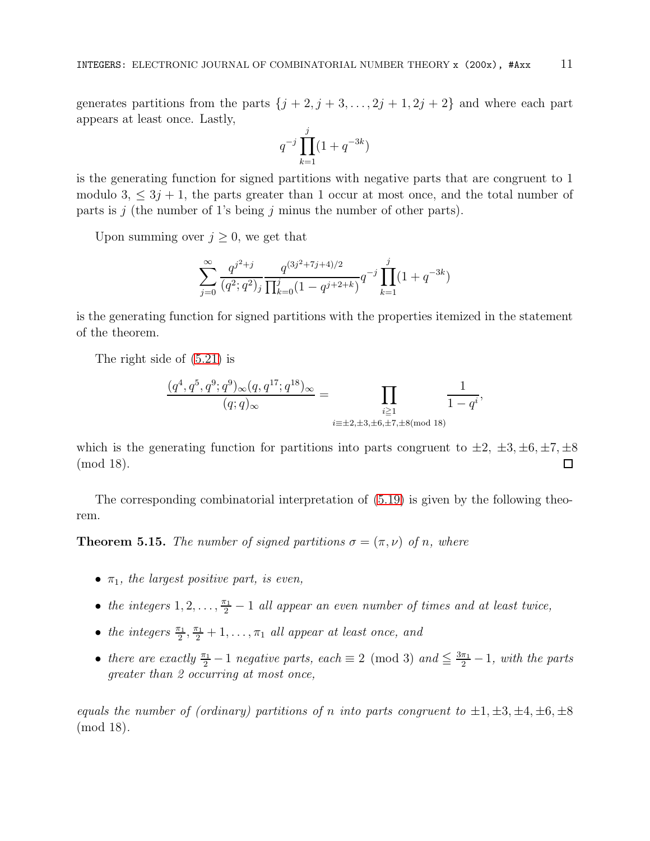generates partitions from the parts  $\{j + 2, j + 3, \ldots, 2j + 1, 2j + 2\}$  and where each part appears at least once. Lastly,

$$
q^{-j} \prod_{k=1}^{j} (1 + q^{-3k})
$$

is the generating function for signed partitions with negative parts that are congruent to 1 modulo 3,  $\leq 3j + 1$ , the parts greater than 1 occur at most once, and the total number of parts is j (the number of 1's being j minus the number of other parts).

Upon summing over  $j \geq 0$ , we get that

$$
\sum_{j=0}^{\infty} \frac{q^{j^2+j}}{(q^2;q^2)_j} \frac{q^{(3j^2+7j+4)/2}}{\prod_{k=0}^j (1-q^{j+2+k})} q^{-j} \prod_{k=1}^j (1+q^{-3k})
$$

is the generating function for signed partitions with the properties itemized in the statement of the theorem.

The right side of [\(5.21\)](#page-9-0) is

$$
\frac{(q^4, q^5, q^9, q^9)_{\infty}(q, q^{17}; q^{18})_{\infty}}{(q;q)_{\infty}} = \prod_{\substack{i \geq 1 \\ i \equiv \pm 2, \pm 3, \pm 6, \pm 7, \pm 8 \pmod{18}}} \frac{1}{1 - q^i},
$$

which is the generating function for partitions into parts congruent to  $\pm 2$ ,  $\pm 3$ ,  $\pm 6$ ,  $\pm 7$ ,  $\pm 8$ (mod 18).  $\Box$ 

The corresponding combinatorial interpretation of [\(5.19\)](#page-9-1) is given by the following theorem.

**Theorem 5.15.** The number of signed partitions  $\sigma = (\pi, \nu)$  of n, where

- $\pi_1$ , the largest positive part, is even,
- the integers  $1, 2, \ldots, \frac{\pi_1}{2} 1$  all appear an even number of times and at least twice,
- the integers  $\frac{\pi_1}{2}, \frac{\pi_1}{2} + 1, \ldots, \pi_1$  all appear at least once, and
- there are exactly  $\frac{\pi_1}{2} 1$  negative parts, each  $\equiv 2 \pmod{3}$  and  $\leq \frac{3\pi_1}{2} 1$ , with the parts greater than 2 occurring at most once,

equals the number of (ordinary) partitions of n into parts congruent to  $\pm 1, \pm 3, \pm 4, \pm 6, \pm 8$ (mod 18).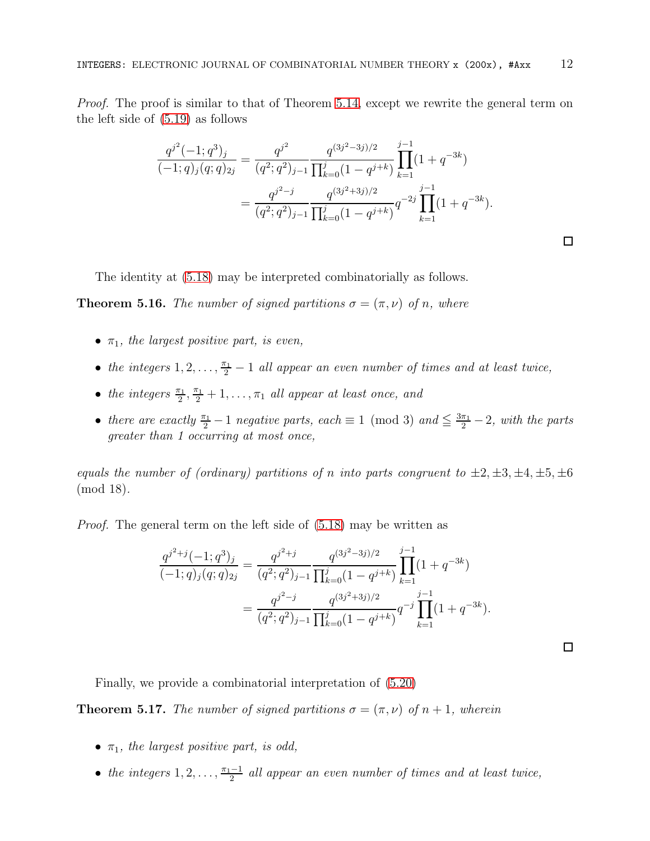Proof. The proof is similar to that of Theorem [5.14,](#page-9-2) except we rewrite the general term on the left side of [\(5.19\)](#page-9-1) as follows

$$
\frac{q^{j^2}(-1;q^3)_j}{(-1;q)_j(q;q)_{2j}} = \frac{q^{j^2}}{(q^2;q^2)_{j-1}} \frac{q^{(3j^2-3j)/2}}{\prod_{k=0}^j (1-q^{j+k})} \prod_{k=1}^{j-1} (1+q^{-3k})
$$

$$
= \frac{q^{j^2-j}}{(q^2;q^2)_{j-1}} \frac{q^{(3j^2+3j)/2}}{\prod_{k=0}^j (1-q^{j+k})} q^{-2j} \prod_{k=1}^{j-1} (1+q^{-3k}).
$$

The identity at [\(5.18\)](#page-8-0) may be interpreted combinatorially as follows.

**Theorem 5.16.** The number of signed partitions  $\sigma = (\pi, \nu)$  of n, where

- $\pi_1$ , the largest positive part, is even,
- the integers  $1, 2, \ldots, \frac{\pi_1}{2} 1$  all appear an even number of times and at least twice,
- the integers  $\frac{\pi_1}{2}, \frac{\pi_1}{2} + 1, \ldots, \pi_1$  all appear at least once, and
- there are exactly  $\frac{\pi_1}{2} 1$  negative parts, each  $\equiv 1 \pmod{3}$  and  $\leq \frac{3\pi_1}{2} 2$ , with the parts greater than 1 occurring at most once,

equals the number of (ordinary) partitions of n into parts congruent to  $\pm 2, \pm 3, \pm 4, \pm 5, \pm 6$ (mod 18).

Proof. The general term on the left side of [\(5.18\)](#page-8-0) may be written as

$$
\frac{q^{j^2+j}(-1;q^3)_j}{(-1;q)_j(q;q)_{2j}} = \frac{q^{j^2+j}}{(q^2;q^2)_{j-1}} \frac{q^{(3j^2-3j)/2}}{\prod_{k=0}^j (1-q^{j+k})} \prod_{k=1}^{j-1} (1+q^{-3k})
$$

$$
= \frac{q^{j^2-j}}{(q^2;q^2)_{j-1}} \frac{q^{(3j^2+3j)/2}}{\prod_{k=0}^j (1-q^{j+k})} q^{-j} \prod_{k=1}^{j-1} (1+q^{-3k}).
$$

 $\Box$ 

Finally, we provide a combinatorial interpretation of [\(5.20\)](#page-9-3)

**Theorem 5.17.** The number of signed partitions  $\sigma = (\pi, \nu)$  of  $n + 1$ , wherein

- $\pi_1$ , the largest positive part, is odd,
- the integers  $1, 2, \ldots, \frac{\pi_1 1}{2}$  $\frac{1}{2}$  all appear an even number of times and at least twice,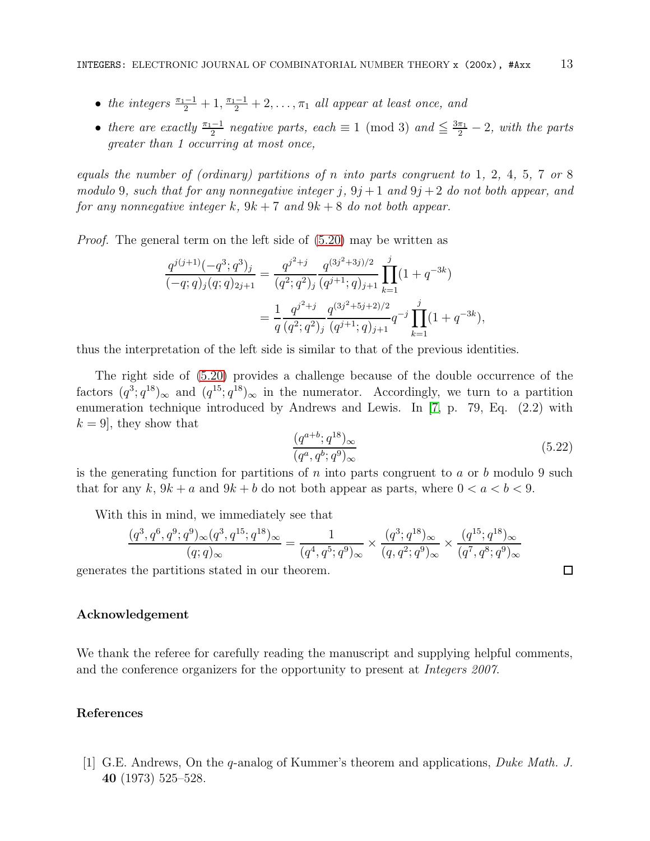- the integers  $\frac{\pi_1-1}{2}+1, \frac{\pi_1-1}{2}+2, \ldots, \pi_1$  all appear at least once, and
- there are exactly  $\frac{\pi_1-1}{2}$  negative parts, each  $\equiv 1 \pmod{3}$  and  $\leq \frac{3\pi_1}{2} 2$ , with the parts greater than 1 occurring at most once,

equals the number of (ordinary) partitions of n into parts congruent to 1, 2, 4, 5, 7 or 8 modulo 9, such that for any nonnegative integer  $j$ ,  $9j+1$  and  $9j+2$  do not both appear, and for any nonnegative integer k,  $9k + 7$  and  $9k + 8$  do not both appear.

Proof. The general term on the left side of [\(5.20\)](#page-9-3) may be written as

$$
\frac{q^{j(j+1)}(-q^3;q^3)_j}{(-q;q)_j(q;q)_{2j+1}} = \frac{q^{j^2+j}}{(q^2;q^2)_j} \frac{q^{(3j^2+3j)/2}}{(q^{j+1};q)_{j+1}} \prod_{k=1}^j (1+q^{-3k})
$$
  
= 
$$
\frac{1}{q} \frac{q^{j^2+j}}{(q^2;q^2)_j} \frac{q^{(3j^2+5j+2)/2}}{(q^{j+1};q)_{j+1}} q^{-j} \prod_{k=1}^j (1+q^{-3k}),
$$

thus the interpretation of the left side is similar to that of the previous identities.

The right side of [\(5.20\)](#page-9-3) provides a challenge because of the double occurrence of the factors  $(q^3; q^{18})_{\infty}$  and  $(q^{15}; q^{18})_{\infty}$  in the numerator. Accordingly, we turn to a partition enumeration technique introduced by Andrews and Lewis. In [\[7,](#page-13-16) p. 79, Eq. (2.2) with  $k = 9$ , they show that

$$
\frac{(q^{a+b};q^{18})_{\infty}}{(q^a,q^b;q^9)_{\infty}}\tag{5.22}
$$

 $\Box$ 

is the generating function for partitions of  $n$  into parts congruent to  $a$  or  $b$  modulo 9 such that for any k,  $9k + a$  and  $9k + b$  do not both appear as parts, where  $0 < a < b < 9$ .

With this in mind, we immediately see that

$$
\frac{(q^3, q^6, q^9; q^9)_{\infty} (q^3, q^{15}; q^{18})_{\infty}}{(q; q)_{\infty}} = \frac{1}{(q^4, q^5; q^9)_{\infty}} \times \frac{(q^3; q^{18})_{\infty}}{(q, q^2; q^9)_{\infty}} \times \frac{(q^{15}; q^{18})_{\infty}}{(q^7, q^8; q^9)_{\infty}}
$$

generates the partitions stated in our theorem.

### Acknowledgement

We thank the referee for carefully reading the manuscript and supplying helpful comments, and the conference organizers for the opportunity to present at Integers 2007.

## References

<span id="page-12-0"></span>[1] G.E. Andrews, On the q-analog of Kummer's theorem and applications, Duke Math. J. 40 (1973) 525–528.